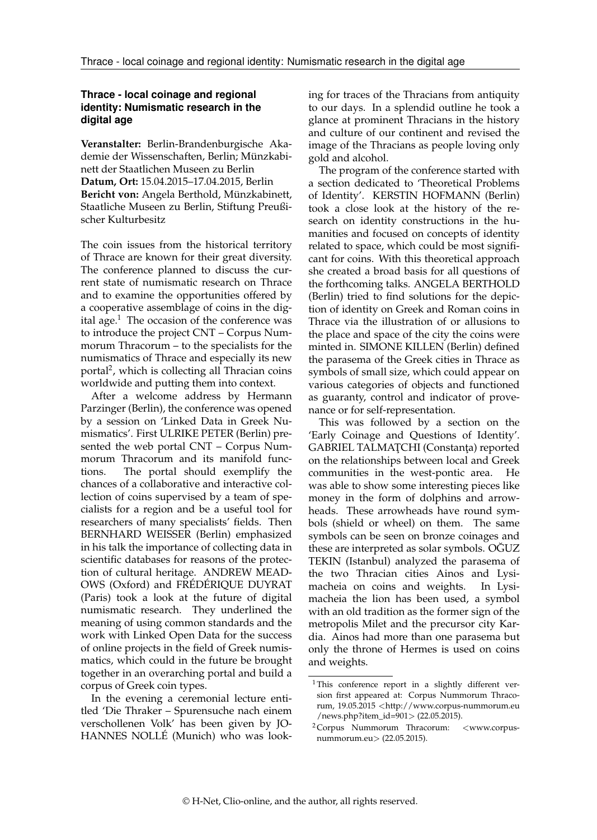## **Thrace - local coinage and regional identity: Numismatic research in the digital age**

**Veranstalter:** Berlin-Brandenburgische Akademie der Wissenschaften, Berlin; Münzkabinett der Staatlichen Museen zu Berlin **Datum, Ort:** 15.04.2015–17.04.2015, Berlin **Bericht von:** Angela Berthold, Münzkabinett, Staatliche Museen zu Berlin, Stiftung Preußischer Kulturbesitz

The coin issues from the historical territory of Thrace are known for their great diversity. The conference planned to discuss the current state of numismatic research on Thrace and to examine the opportunities offered by a cooperative assemblage of coins in the dig-ital age.<sup>[1](#page-0-0)</sup> The occasion of the conference was to introduce the project CNT – Corpus Nummorum Thracorum – to the specialists for the numismatics of Thrace and especially its new portal[2](#page-0-1) , which is collecting all Thracian coins worldwide and putting them into context.

After a welcome address by Hermann Parzinger (Berlin), the conference was opened by a session on 'Linked Data in Greek Numismatics'. First ULRIKE PETER (Berlin) presented the web portal CNT – Corpus Nummorum Thracorum and its manifold functions. The portal should exemplify the chances of a collaborative and interactive collection of coins supervised by a team of specialists for a region and be a useful tool for researchers of many specialists' fields. Then BERNHARD WEISSER (Berlin) emphasized in his talk the importance of collecting data in scientific databases for reasons of the protection of cultural heritage. ANDREW MEAD-OWS (Oxford) and FRÉDÉRIQUE DUYRAT (Paris) took a look at the future of digital numismatic research. They underlined the meaning of using common standards and the work with Linked Open Data for the success of online projects in the field of Greek numismatics, which could in the future be brought together in an overarching portal and build a corpus of Greek coin types.

In the evening a ceremonial lecture entitled 'Die Thraker – Spurensuche nach einem verschollenen Volk' has been given by JO-HANNES NOLLÉ (Munich) who was looking for traces of the Thracians from antiquity to our days. In a splendid outline he took a glance at prominent Thracians in the history and culture of our continent and revised the image of the Thracians as people loving only gold and alcohol.

The program of the conference started with a section dedicated to 'Theoretical Problems of Identity'. KERSTIN HOFMANN (Berlin) took a close look at the history of the research on identity constructions in the humanities and focused on concepts of identity related to space, which could be most significant for coins. With this theoretical approach she created a broad basis for all questions of the forthcoming talks. ANGELA BERTHOLD (Berlin) tried to find solutions for the depiction of identity on Greek and Roman coins in Thrace via the illustration of or allusions to the place and space of the city the coins were minted in. SIMONE KILLEN (Berlin) defined the parasema of the Greek cities in Thrace as symbols of small size, which could appear on various categories of objects and functioned as guaranty, control and indicator of provenance or for self-representation.

This was followed by a section on the 'Early Coinage and Questions of Identity'. GABRIEL TALMAȚCHI (Constanța) reported on the relationships between local and Greek communities in the west-pontic area. He was able to show some interesting pieces like money in the form of dolphins and arrowheads. These arrowheads have round symbols (shield or wheel) on them. The same symbols can be seen on bronze coinages and these are interpreted as solar symbols. OGUZ TEKIN (Istanbul) analyzed the parasema of the two Thracian cities Ainos and Lysimacheia on coins and weights. In Lysimacheia the lion has been used, a symbol with an old tradition as the former sign of the metropolis Milet and the precursor city Kardia. Ainos had more than one parasema but only the throne of Hermes is used on coins and weights.

<span id="page-0-0"></span><sup>1</sup> This conference report in a slightly different version first appeared at: Corpus Nummorum Thracorum, 19.05.2015 <[http://www.corpus-nummorum.eu](http://www.corpus-nummorum.eu/news.php?item_id=901) [/news.php?item\\_id=901](http://www.corpus-nummorum.eu/news.php?item_id=901)> (22.05.2015).

<span id="page-0-1"></span><sup>2</sup> Corpus Nummorum Thracorum: <www.corpusnummorum.eu> (22.05.2015).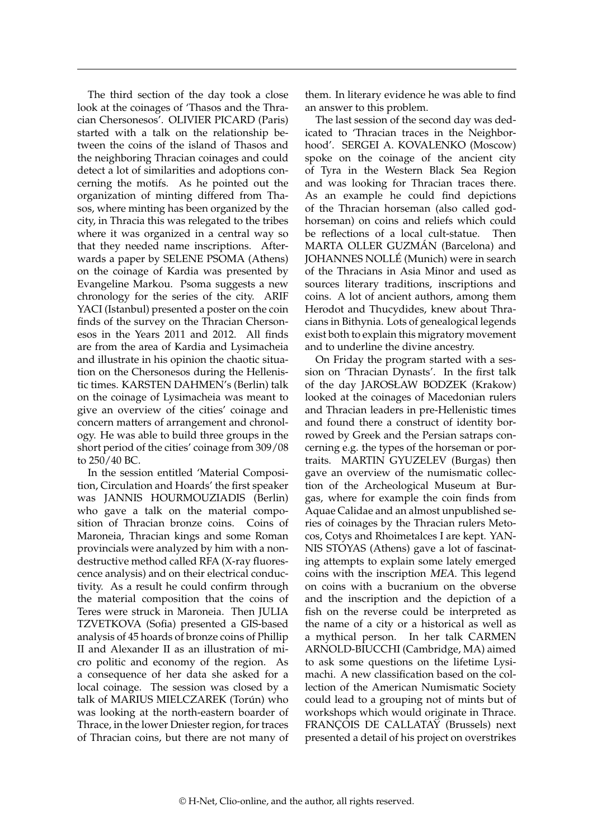The third section of the day took a close look at the coinages of 'Thasos and the Thracian Chersonesos'. OLIVIER PICARD (Paris) started with a talk on the relationship between the coins of the island of Thasos and the neighboring Thracian coinages and could detect a lot of similarities and adoptions concerning the motifs. As he pointed out the organization of minting differed from Thasos, where minting has been organized by the city, in Thracia this was relegated to the tribes where it was organized in a central way so that they needed name inscriptions. Afterwards a paper by SELENE PSOMA (Athens) on the coinage of Kardia was presented by Evangeline Markou. Psoma suggests a new chronology for the series of the city. ARIF YACI (Istanbul) presented a poster on the coin finds of the survey on the Thracian Chersonesos in the Years 2011 and 2012. All finds are from the area of Kardia and Lysimacheia and illustrate in his opinion the chaotic situation on the Chersonesos during the Hellenistic times. KARSTEN DAHMEN's (Berlin) talk on the coinage of Lysimacheia was meant to give an overview of the cities' coinage and concern matters of arrangement and chronology. He was able to build three groups in the short period of the cities' coinage from 309/08 to 250/40 BC.

In the session entitled 'Material Composition, Circulation and Hoards' the first speaker was JANNIS HOURMOUZIADIS (Berlin) who gave a talk on the material composition of Thracian bronze coins. Coins of Maroneia, Thracian kings and some Roman provincials were analyzed by him with a nondestructive method called RFA (X-ray fluorescence analysis) and on their electrical conductivity. As a result he could confirm through the material composition that the coins of Teres were struck in Maroneia. Then JULIA TZVETKOVA (Sofia) presented a GIS-based analysis of 45 hoards of bronze coins of Phillip II and Alexander II as an illustration of micro politic and economy of the region. As a consequence of her data she asked for a local coinage. The session was closed by a talk of MARIUS MIELCZAREK (Torún) who was looking at the north-eastern boarder of Thrace, in the lower Dniester region, for traces of Thracian coins, but there are not many of them. In literary evidence he was able to find an answer to this problem.

The last session of the second day was dedicated to 'Thracian traces in the Neighborhood'. SERGEI A. KOVALENKO (Moscow) spoke on the coinage of the ancient city of Tyra in the Western Black Sea Region and was looking for Thracian traces there. As an example he could find depictions of the Thracian horseman (also called godhorseman) on coins and reliefs which could be reflections of a local cult-statue. Then MARTA OLLER GUZMÁN (Barcelona) and JOHANNES NOLLÉ (Munich) were in search of the Thracians in Asia Minor and used as sources literary traditions, inscriptions and coins. A lot of ancient authors, among them Herodot and Thucydides, knew about Thracians in Bithynia. Lots of genealogical legends exist both to explain this migratory movement and to underline the divine ancestry.

On Friday the program started with a session on 'Thracian Dynasts'. In the first talk of the day JAROSŁAW BODZEK (Krakow) looked at the coinages of Macedonian rulers and Thracian leaders in pre-Hellenistic times and found there a construct of identity borrowed by Greek and the Persian satraps concerning e.g. the types of the horseman or portraits. MARTIN GYUZELEV (Burgas) then gave an overview of the numismatic collection of the Archeological Museum at Burgas, where for example the coin finds from Aquae Calidae and an almost unpublished series of coinages by the Thracian rulers Metocos, Cotys and Rhoimetalces I are kept. YAN-NIS STOYAS (Athens) gave a lot of fascinating attempts to explain some lately emerged coins with the inscription MEA. This legend on coins with a bucranium on the obverse and the inscription and the depiction of a fish on the reverse could be interpreted as the name of a city or a historical as well as a mythical person. In her talk CARMEN ARNOLD-BIUCCHI (Cambridge, MA) aimed to ask some questions on the lifetime Lysimachi. A new classification based on the collection of the American Numismatic Society could lead to a grouping not of mints but of workshops which would originate in Thrace. FRANÇOIS DE CALLATAŸ (Brussels) next presented a detail of his project on overstrikes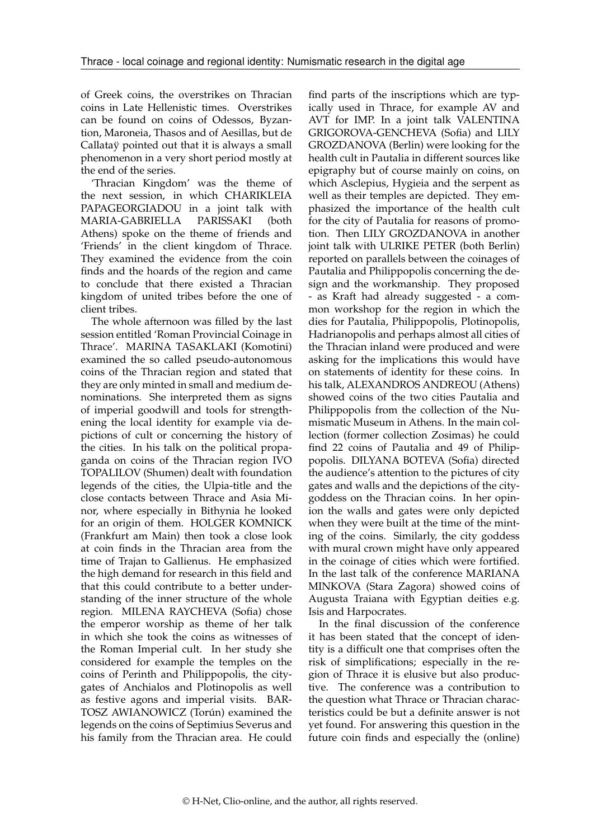of Greek coins, the overstrikes on Thracian coins in Late Hellenistic times. Overstrikes can be found on coins of Odessos, Byzantion, Maroneia, Thasos and of Aesillas, but de Callataÿ pointed out that it is always a small phenomenon in a very short period mostly at the end of the series.

'Thracian Kingdom' was the theme of the next session, in which CHARIKLEIA PAPAGEORGIADOU in a joint talk with<br>MARIA-GABRIELLA PARISSAKI (both MARIA-GABRIELLA PARISSAKI Athens) spoke on the theme of friends and 'Friends' in the client kingdom of Thrace. They examined the evidence from the coin finds and the hoards of the region and came to conclude that there existed a Thracian kingdom of united tribes before the one of client tribes.

The whole afternoon was filled by the last session entitled 'Roman Provincial Coinage in Thrace'. MARINA TASAKLAKI (Komotini) examined the so called pseudo-autonomous coins of the Thracian region and stated that they are only minted in small and medium denominations. She interpreted them as signs of imperial goodwill and tools for strengthening the local identity for example via depictions of cult or concerning the history of the cities. In his talk on the political propaganda on coins of the Thracian region IVO TOPALILOV (Shumen) dealt with foundation legends of the cities, the Ulpia-title and the close contacts between Thrace and Asia Minor, where especially in Bithynia he looked for an origin of them. HOLGER KOMNICK (Frankfurt am Main) then took a close look at coin finds in the Thracian area from the time of Trajan to Gallienus. He emphasized the high demand for research in this field and that this could contribute to a better understanding of the inner structure of the whole region. MILENA RAYCHEVA (Sofia) chose the emperor worship as theme of her talk in which she took the coins as witnesses of the Roman Imperial cult. In her study she considered for example the temples on the coins of Perinth and Philippopolis, the citygates of Anchialos and Plotinopolis as well as festive agons and imperial visits. BAR-TOSZ AWIANOWICZ (Torún) examined the legends on the coins of Septimius Severus and his family from the Thracian area. He could

find parts of the inscriptions which are typically used in Thrace, for example AV and AVT for IMP. In a joint talk VALENTINA GRIGOROVA-GENCHEVA (Sofia) and LILY GROZDANOVA (Berlin) were looking for the health cult in Pautalia in different sources like epigraphy but of course mainly on coins, on which Asclepius, Hygieia and the serpent as well as their temples are depicted. They emphasized the importance of the health cult for the city of Pautalia for reasons of promotion. Then LILY GROZDANOVA in another joint talk with ULRIKE PETER (both Berlin) reported on parallels between the coinages of Pautalia and Philippopolis concerning the design and the workmanship. They proposed - as Kraft had already suggested - a common workshop for the region in which the dies for Pautalia, Philippopolis, Plotinopolis, Hadrianopolis and perhaps almost all cities of the Thracian inland were produced and were asking for the implications this would have on statements of identity for these coins. In his talk, ALEXANDROS ANDREOU (Athens) showed coins of the two cities Pautalia and Philippopolis from the collection of the Numismatic Museum in Athens. In the main collection (former collection Zosimas) he could find 22 coins of Pautalia and 49 of Philippopolis. DILYANA BOTEVA (Sofia) directed the audience's attention to the pictures of city gates and walls and the depictions of the citygoddess on the Thracian coins. In her opinion the walls and gates were only depicted when they were built at the time of the minting of the coins. Similarly, the city goddess with mural crown might have only appeared in the coinage of cities which were fortified. In the last talk of the conference MARIANA MINKOVA (Stara Zagora) showed coins of Augusta Traiana with Egyptian deities e.g. Isis and Harpocrates.

In the final discussion of the conference it has been stated that the concept of identity is a difficult one that comprises often the risk of simplifications; especially in the region of Thrace it is elusive but also productive. The conference was a contribution to the question what Thrace or Thracian characteristics could be but a definite answer is not yet found. For answering this question in the future coin finds and especially the (online)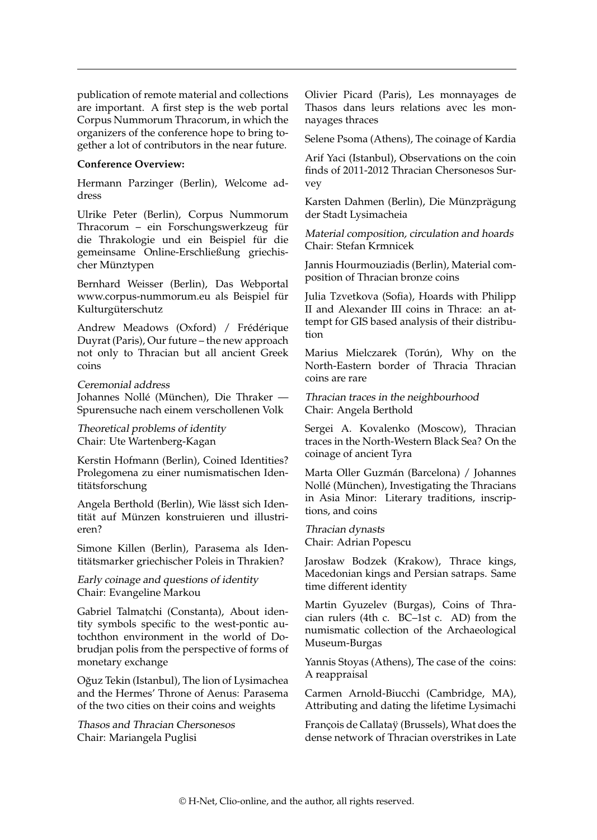publication of remote material and collections are important. A first step is the web portal Corpus Nummorum Thracorum, in which the organizers of the conference hope to bring together a lot of contributors in the near future.

## **Conference Overview:**

Hermann Parzinger (Berlin), Welcome address

Ulrike Peter (Berlin), Corpus Nummorum Thracorum – ein Forschungswerkzeug für die Thrakologie und ein Beispiel für die gemeinsame Online-Erschließung griechischer Münztypen

Bernhard Weisser (Berlin), Das Webportal www.corpus-nummorum.eu als Beispiel für Kulturgüterschutz

Andrew Meadows (Oxford) / Frédérique Duyrat (Paris), Our future – the new approach not only to Thracian but all ancient Greek coins

Ceremonial address Johannes Nollé (München), Die Thraker — Spurensuche nach einem verschollenen Volk

Theoretical problems of identity Chair: Ute Wartenberg-Kagan

Kerstin Hofmann (Berlin), Coined Identities? Prolegomena zu einer numismatischen Identitätsforschung

Angela Berthold (Berlin), Wie lässt sich Identität auf Münzen konstruieren und illustrieren?

Simone Killen (Berlin), Parasema als Identitätsmarker griechischer Poleis in Thrakien?

Early coinage and questions of identity Chair: Evangeline Markou

Gabriel Talmatchi (Constanta), About identity symbols specific to the west-pontic autochthon environment in the world of Dobrudjan polis from the perspective of forms of monetary exchange

Oğuz Tekin (Istanbul), The lion of Lysimachea and the Hermes' Throne of Aenus: Parasema of the two cities on their coins and weights

Thasos and Thracian Chersonesos Chair: Mariangela Puglisi

Olivier Picard (Paris), Les monnayages de Thasos dans leurs relations avec les monnayages thraces

Selene Psoma (Athens), The coinage of Kardia

Arif Yaci (Istanbul), Observations on the coin finds of 2011-2012 Thracian Chersonesos Survey

Karsten Dahmen (Berlin), Die Münzprägung der Stadt Lysimacheia

Material composition, circulation and hoards Chair: Stefan Krmnicek

Jannis Hourmouziadis (Berlin), Material composition of Thracian bronze coins

Julia Tzvetkova (Sofia), Hoards with Philipp II and Alexander III coins in Thrace: an attempt for GIS based analysis of their distribution

Marius Mielczarek (Torún), Why on the North-Eastern border of Thracia Thracian coins are rare

Thracian traces in the neighbourhood Chair: Angela Berthold

Sergei A. Kovalenko (Moscow), Thracian traces in the North-Western Black Sea? On the coinage of ancient Tyra

Marta Oller Guzmán (Barcelona) / Johannes Nollé (München), Investigating the Thracians in Asia Minor: Literary traditions, inscriptions, and coins

Thracian dynasts Chair: Adrian Popescu

Jarosław Bodzek (Krakow), Thrace kings, Macedonian kings and Persian satraps. Same time different identity

Martin Gyuzelev (Burgas), Coins of Thracian rulers (4th c. BC–1st c. AD) from the numismatic collection of the Archaeological Museum-Burgas

Yannis Stoyas (Athens), The case of the coins: A reappraisal

Carmen Arnold-Biucchi (Cambridge, MA), Attributing and dating the lifetime Lysimachi

François de Callataÿ (Brussels), What does the dense network of Thracian overstrikes in Late